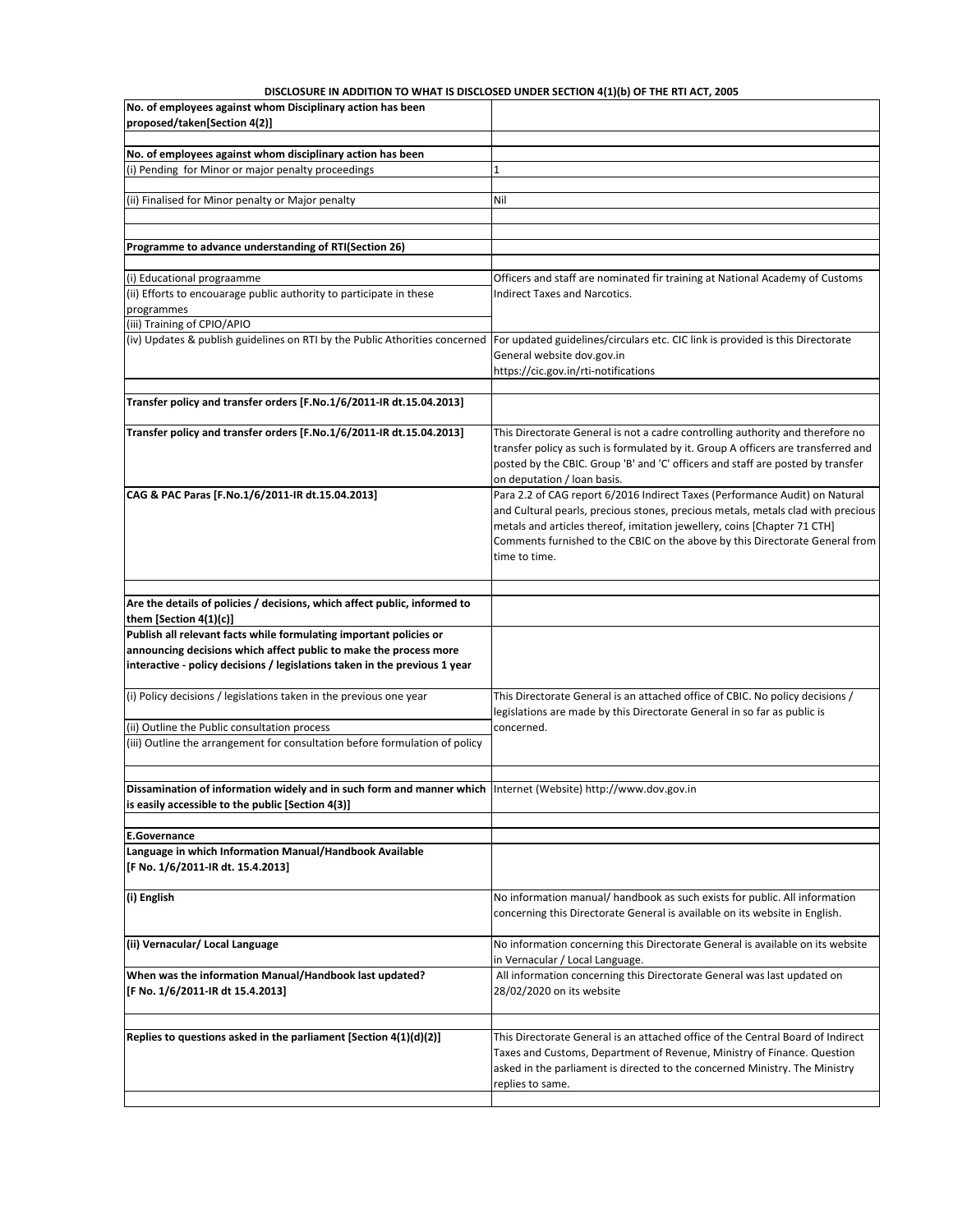## **DISCLOSURE IN ADDITION TO WHAT IS DISCLOSED UNDER SECTION 4(1)(b) OF THE RTI ACT, 2005**

| No. of employees against whom Disciplinary action has been<br>proposed/taken[Section 4(2)]                                                                                                                                                                                                                                      |                                                                                                                                                                                                                                                                                                                                              |
|---------------------------------------------------------------------------------------------------------------------------------------------------------------------------------------------------------------------------------------------------------------------------------------------------------------------------------|----------------------------------------------------------------------------------------------------------------------------------------------------------------------------------------------------------------------------------------------------------------------------------------------------------------------------------------------|
|                                                                                                                                                                                                                                                                                                                                 |                                                                                                                                                                                                                                                                                                                                              |
| No. of employees against whom disciplinary action has been<br>(i) Pending for Minor or major penalty proceedings                                                                                                                                                                                                                |                                                                                                                                                                                                                                                                                                                                              |
|                                                                                                                                                                                                                                                                                                                                 |                                                                                                                                                                                                                                                                                                                                              |
| (ii) Finalised for Minor penalty or Major penalty                                                                                                                                                                                                                                                                               | Nil                                                                                                                                                                                                                                                                                                                                          |
|                                                                                                                                                                                                                                                                                                                                 |                                                                                                                                                                                                                                                                                                                                              |
| Programme to advance understanding of RTI(Section 26)                                                                                                                                                                                                                                                                           |                                                                                                                                                                                                                                                                                                                                              |
| (i) Educational prograamme                                                                                                                                                                                                                                                                                                      | Officers and staff are nominated fir training at National Academy of Customs                                                                                                                                                                                                                                                                 |
| (ii) Efforts to encouarage public authority to participate in these<br>programmes                                                                                                                                                                                                                                               | <b>Indirect Taxes and Narcotics.</b>                                                                                                                                                                                                                                                                                                         |
| (iii) Training of CPIO/APIO<br>(iv) Updates & publish guidelines on RTI by the Public Athorities concerned                                                                                                                                                                                                                      | For updated guidelines/circulars etc. CIC link is provided is this Directorate<br>General website dov.gov.in<br>https://cic.gov.in/rti-notifications                                                                                                                                                                                         |
| Transfer policy and transfer orders [F.No.1/6/2011-IR dt.15.04.2013]                                                                                                                                                                                                                                                            |                                                                                                                                                                                                                                                                                                                                              |
| Transfer policy and transfer orders [F.No.1/6/2011-IR dt.15.04.2013]                                                                                                                                                                                                                                                            | This Directorate General is not a cadre controlling authority and therefore no<br>transfer policy as such is formulated by it. Group A officers are transferred and<br>posted by the CBIC. Group 'B' and 'C' officers and staff are posted by transfer<br>on deputation / loan basis.                                                        |
| CAG & PAC Paras [F.No.1/6/2011-IR dt.15.04.2013]                                                                                                                                                                                                                                                                                | Para 2.2 of CAG report 6/2016 Indirect Taxes (Performance Audit) on Natural<br>and Cultural pearls, precious stones, precious metals, metals clad with precious<br>metals and articles thereof, imitation jewellery, coins [Chapter 71 CTH]<br>Comments furnished to the CBIC on the above by this Directorate General from<br>time to time. |
| Are the details of policies / decisions, which affect public, informed to<br>them [Section $4(1)(c)$ ]<br>Publish all relevant facts while formulating important policies or<br>announcing decisions which affect public to make the process more<br>interactive - policy decisions / legislations taken in the previous 1 year |                                                                                                                                                                                                                                                                                                                                              |
| (i) Policy decisions / legislations taken in the previous one year                                                                                                                                                                                                                                                              | This Directorate General is an attached office of CBIC. No policy decisions /<br>legislations are made by this Directorate General in so far as public is                                                                                                                                                                                    |
| (ii) Outline the Public consultation process<br>(iii) Outline the arrangement for consultation before formulation of policy                                                                                                                                                                                                     | concerned.                                                                                                                                                                                                                                                                                                                                   |
| Dissamination of information widely and in such form and manner which Internet (Website) http://www.dov.gov.in<br>is easily accessible to the public [Section 4(3)]                                                                                                                                                             |                                                                                                                                                                                                                                                                                                                                              |
|                                                                                                                                                                                                                                                                                                                                 |                                                                                                                                                                                                                                                                                                                                              |
| <b>E.Governance</b><br>Language in which Information Manual/Handbook Available<br>[F No. 1/6/2011-IR dt. 15.4.2013]                                                                                                                                                                                                             |                                                                                                                                                                                                                                                                                                                                              |
| (i) English                                                                                                                                                                                                                                                                                                                     | No information manual/ handbook as such exists for public. All information<br>concerning this Directorate General is available on its website in English.                                                                                                                                                                                    |
| (ii) Vernacular/ Local Language                                                                                                                                                                                                                                                                                                 | No information concerning this Directorate General is available on its website<br>in Vernacular / Local Language.                                                                                                                                                                                                                            |
| When was the information Manual/Handbook last updated?<br>[F No. 1/6/2011-IR dt 15.4.2013]                                                                                                                                                                                                                                      | All information concerning this Directorate General was last updated on<br>28/02/2020 on its website                                                                                                                                                                                                                                         |
|                                                                                                                                                                                                                                                                                                                                 |                                                                                                                                                                                                                                                                                                                                              |